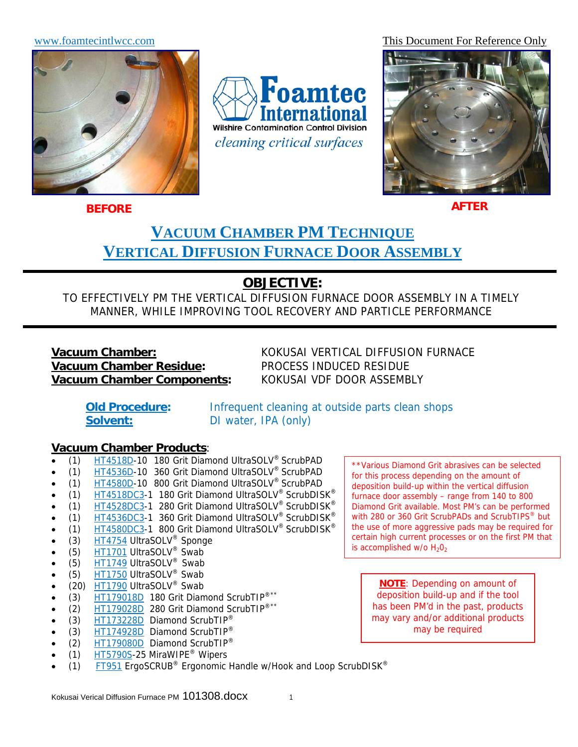

**Foamtec** ternational **Wilshire Contamination Control Division** *cleaning critical surfaces* 

www.foamtecintlwcc.com This Document For Reference Only



**BEFORE**

**AFTER**

# **VACUUM CHAMBER PM TECHNIQUE VERTICAL DIFFUSION FURNACE DOOR ASSEMBLY**

# **OBJECTIVE:**

TO EFFECTIVELY PM THE VERTICAL DIFFUSION FURNACE DOOR ASSEMBLY IN A TIMELY MANNER, WHILE IMPROVING TOOL RECOVERY AND PARTICLE PERFORMANCE

# **Vacuum Chamber Residue:** PROCESS INDUCED RESIDUE **Vacuum Chamber Components:** KOKUSAI VDF DOOR ASSEMBLY

**Vacuum Chamber:** KOKUSAI VERTICAL DIFFUSION FURNACE

**Old Procedure:** Infrequent cleaning at outside parts clean shops **Solvent:** DI water, IPA (only)

#### **Vacuum Chamber Products**:

- (1) HT4518D-10 180 Grit Diamond UltraSOLV® ScrubPAD
- (1) HT4536D-10 360 Grit Diamond UltraSOLV<sup>®</sup> ScrubPAD
- (1) HT4580D-10 800 Grit Diamond UltraSOLV® ScrubPAD
- (1) HT4518DC3-1 180 Grit Diamond UltraSOLV® ScrubDISK®
- (1) HT4528DC3-1 280 Grit Diamond UltraSOLV® ScrubDISK®
- (1) HT4536DC3-1 360 Grit Diamond UltraSOLV<sup>®</sup> ScrubDISK<sup>®</sup>
- (1) HT4580DC3-1 800 Grit Diamond UltraSOLV<sup>®</sup> ScrubDISK<sup>®</sup>
- (3) HT4754 UltraSOLV<sup>®</sup> Sponge
- (5)  $H$ T1701 UltraSOLV<sup>®</sup> Swab
- (5) HT1749 UltraSOLV® Swab
- (5) HT1750 UltraSOLV® Swab
- (20) HT1790 UltraSOLV<sup>®</sup> Swab
- (3)  $H$ T179018D 180 Grit Diamond ScrubTIP<sup>®\*\*</sup>
- (2) HT179028D 280 Grit Diamond ScrubTIP<sup>®\*\*</sup>
- (3) HT173228D Diamond ScrubTIP<sup>®</sup>
- (3) HT174928D Diamond ScrubTIP<sup>®</sup>
- (2) HT179080D Diamond ScrubTIP®
- (1) HT5790S-25 MiraWIPE® Wipers
- (1) FT951 ErgoSCRUB<sup>®</sup> Ergonomic Handle w/Hook and Loop ScrubDISK<sup>®</sup>

\*\*Various Diamond Grit abrasives can be selected for this process depending on the amount of deposition build-up within the vertical diffusion furnace door assembly – range from 140 to 800 Diamond Grit available. Most PM's can be performed with 280 or 360 Grit ScrubPADs and ScrubTIPS<sup>®</sup> but the use of more aggressive pads may be required for certain high current processes or on the first PM that is accomplished  $w/o H<sub>2</sub>O<sub>2</sub>$ 

**NOTE**: Depending on amount of deposition build-up and if the tool has been PM'd in the past, products may vary and/or additional products may be required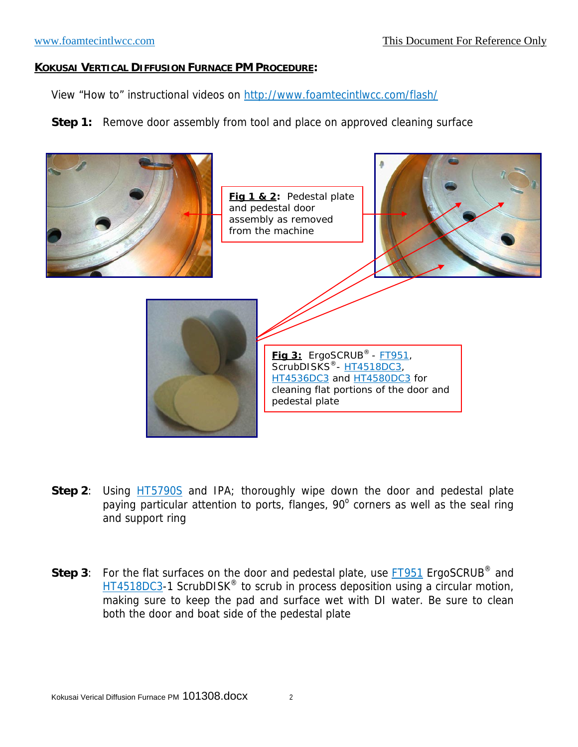#### **KOKUSAI VERTICAL DIFFUSION FURNACE PM PROCEDURE:**

View "How to" instructional videos on http://www.foamtecintlwcc.com/flash/

**Step 1:** Remove door assembly from tool and place on approved cleaning surface



- **Step 2:** Using **HT5790S** and IPA; thoroughly wipe down the door and pedestal plate paying particular attention to ports, flanges,  $90^\circ$  corners as well as the seal ring and support ring
- **Step 3**: For the flat surfaces on the door and pedestal plate, use **FT951** ErgoSCRUB<sup>®</sup> and HT4518DC3-1 ScrubDISK<sup>®</sup> to scrub in process deposition using a circular motion, making sure to keep the pad and surface wet with DI water. Be sure to clean both the door and boat side of the pedestal plate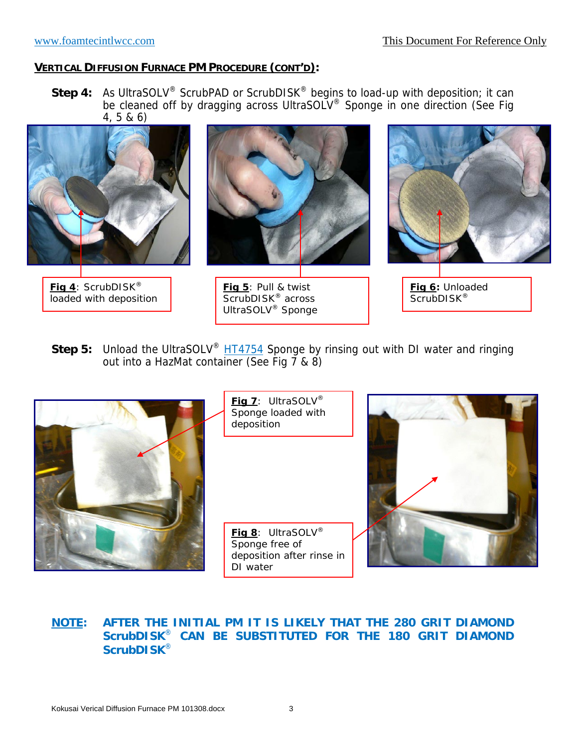**Step 4:** As UltraSOLV® ScrubPAD or ScrubDISK® begins to load-up with deposition; it can be cleaned off by dragging across UltraSOLV® Sponge in one direction (See Fig 4, 5 & 6)



**Step 5:** Unload the UltraSOLV<sup>®</sup> HT4754 Sponge by rinsing out with DI water and ringing out into a HazMat container (See Fig 7 & 8)



#### **NOTE: AFTER THE INITIAL PM IT IS LIKELY THAT THE 280 GRIT DIAMOND ScrubDISK**® **CAN BE SUBSTITUTED FOR THE 180 GRIT DIAMOND ScrubDISK**®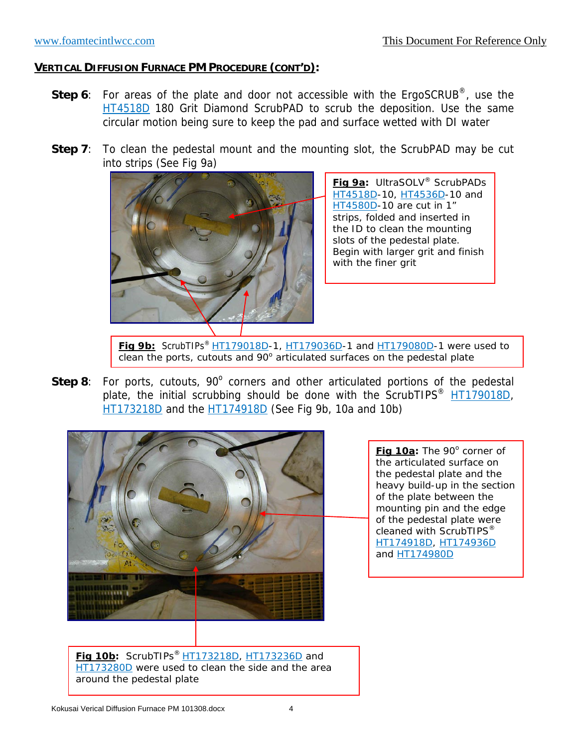- **Step 6**: For areas of the plate and door not accessible with the ErgoSCRUB®, use the HT4518D 180 Grit Diamond ScrubPAD to scrub the deposition. Use the same circular motion being sure to keep the pad and surface wetted with DI water
- **Step 7**: To clean the pedestal mount and the mounting slot, the ScrubPAD may be cut into strips (See Fig 9a)



**Fig 9a:** UltraSOLV® ScrubPADs HT4518D-10, HT4536D-10 and HT4580D-10 are cut in 1" strips, folded and inserted in the ID to clean the mounting slots of the pedestal plate. Begin with larger grit and finish with the finer grit

**Fig 9b:**ScrubTIPs® HT179018D-1, HT179036D-1 and HT179080D-1 were used to clean the ports, cutouts and  $90^\circ$  articulated surfaces on the pedestal plate

Step 8: For ports, cutouts, 90° corners and other articulated portions of the pedestal plate, the initial scrubbing should be done with the ScrubTIPS<sup>®</sup> HT179018D, HT173218D and the HT174918D (See Fig 9b, 10a and 10b)



Fig 10a: The 90° corner of the articulated surface on the pedestal plate and the heavy build-up in the section of the plate between the mounting pin and the edge of the pedestal plate were cleaned with ScrubTIPS<sup>®</sup> HT174918D, HT174936D and HT174980D

**Fig 10b:** ScrubTIPs® HT173218D, HT173236D and HT173280D were used to clean the side and the area around the pedestal plate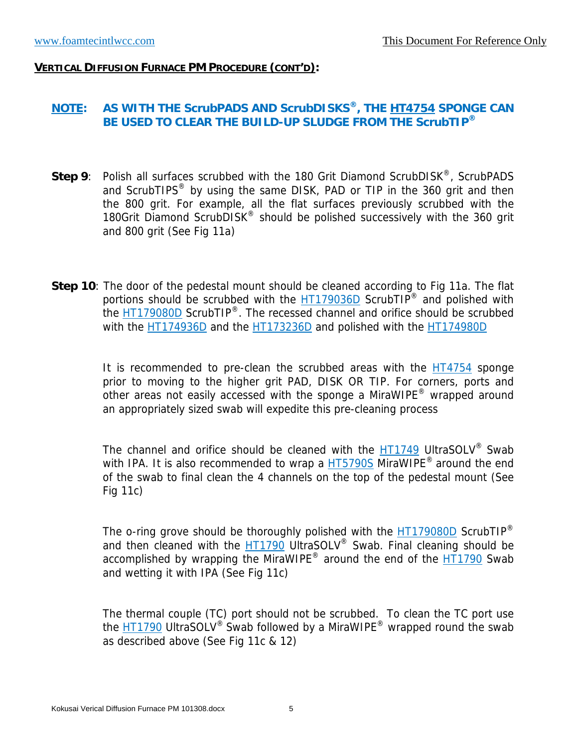### **NOTE: AS WITH THE ScrubPADS AND ScrubDISKS®, THE HT4754 SPONGE CAN BE USED TO CLEAR THE BUILD-UP SLUDGE FROM THE ScrubTIP®**

- **Step 9**: Polish all surfaces scrubbed with the 180 Grit Diamond ScrubDISK®, ScrubPADS and ScrubTIPS<sup>®</sup> by using the same DISK, PAD or TIP in the 360 grit and then the 800 grit. For example, all the flat surfaces previously scrubbed with the 180Grit Diamond ScrubDISK<sup>®</sup> should be polished successively with the 360 grit and 800 grit (See Fig 11a)
- **Step 10**: The door of the pedestal mount should be cleaned according to Fig 11a. The flat portions should be scrubbed with the HT179036D ScrubTIP<sup>®</sup> and polished with the HT179080D ScrubTIP®. The recessed channel and orifice should be scrubbed with the HT174936D and the HT173236D and polished with the HT174980D

It is recommended to pre-clean the scrubbed areas with the HT4754 sponge prior to moving to the higher grit PAD, DISK OR TIP. For corners, ports and other areas not easily accessed with the sponge a MiraWIPE® wrapped around an appropriately sized swab will expedite this pre-cleaning process

The channel and orifice should be cleaned with the HT1749 UltraSOLV<sup>®</sup> Swab with IPA. It is also recommended to wrap a HT5790S MiraWIPE<sup>®</sup> around the end of the swab to final clean the 4 channels on the top of the pedestal mount (See Fig 11c)

The o-ring grove should be thoroughly polished with the  $HT179080D$  ScrubTIP<sup>®</sup> and then cleaned with the HT1790 UltraSOLV<sup>®</sup> Swab. Final cleaning should be accomplished by wrapping the MiraWIPE<sup>®</sup> around the end of the  $\overline{HT}$ 1790 Swab and wetting it with IPA (See Fig 11c)

The thermal couple (TC) port should not be scrubbed. To clean the TC port use the HT1790 UltraSOLV<sup>®</sup> Swab followed by a MiraWIPE<sup>®</sup> wrapped round the swab as described above (See Fig 11c & 12)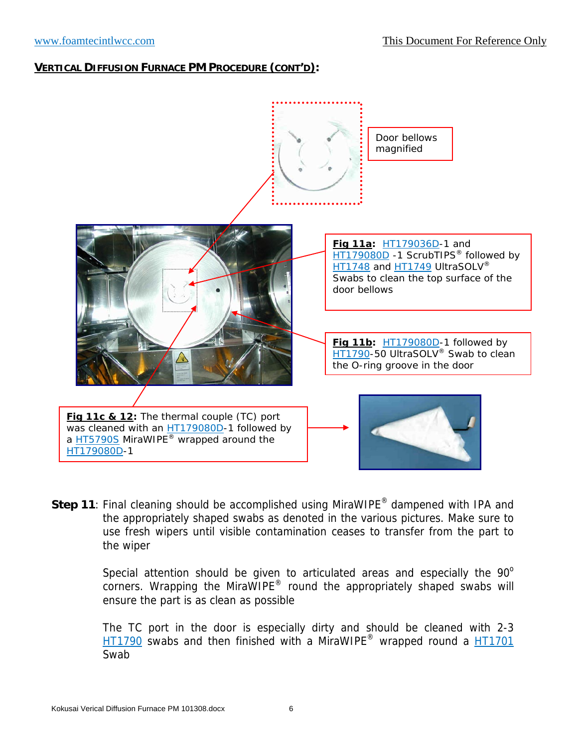

**Step 11**: Final cleaning should be accomplished using MiraWIPE<sup>®</sup> dampened with IPA and the appropriately shaped swabs as denoted in the various pictures. Make sure to use fresh wipers until visible contamination ceases to transfer from the part to the wiper

> Special attention should be given to articulated areas and especially the  $90^\circ$ corners. Wrapping the MiraWIPE<sup>®</sup> round the appropriately shaped swabs will ensure the part is as clean as possible

> The TC port in the door is especially dirty and should be cleaned with 2-3 HT1790 swabs and then finished with a MiraWIPE® wrapped round a HT1701 Swab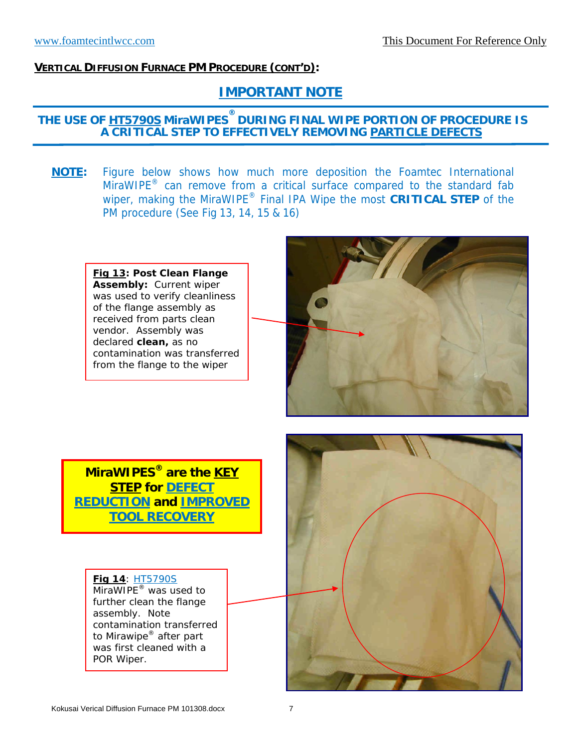# **IMPORTANT NOTE**

## **THE USE OF HT5790S MiraWIPES ® DURING FINAL WIPE PORTION OF PROCEDURE IS A CRITICAL STEP TO EFFECTIVELY REMOVING PARTICLE DEFECTS**

**NOTE:** Figure below shows how much more deposition the Foamtec International  $MiraWIPE<sup>®</sup>$  can remove from a critical surface compared to the standard fab wiper, making the MiraWIPE® Final IPA Wipe the most **CRITICAL STEP** of the PM procedure (See Fig 13, 14, 15 & 16)

**Fig 13: Post Clean Flange Assembly:** Current wiper was used to verify cleanliness of the flange assembly as received from parts clean vendor. Assembly was declared **clean,** as no contamination was transferred from the flange to the wiper



**MiraWIPES® are the KEY STEP for DEFECT REDUCTION and IMPROVED TOOL RECOVERY**

**Fig 14**: HT5790S MiraWIPE<sup>®</sup> was used to further clean the flange assembly. Note contamination transferred to Mirawipe® after part was first cleaned with a POR Wiper.

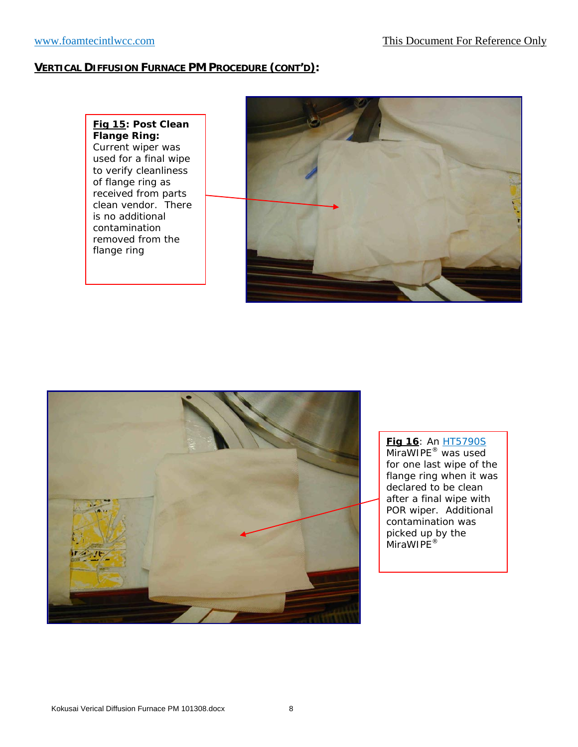**Fig 15: Post Clean Flange Ring:** Current wiper was used for a final wipe to verify cleanliness of flange ring as received from parts clean vendor. There is no additional contamination removed from the flange ring





**Fig 16**: An HT5790S MiraWIPE<sup>®</sup> was used for one last wipe of the flange ring when it was declared to be clean after a final wipe with POR wiper. Additional contamination was picked up by the MiraWIPE®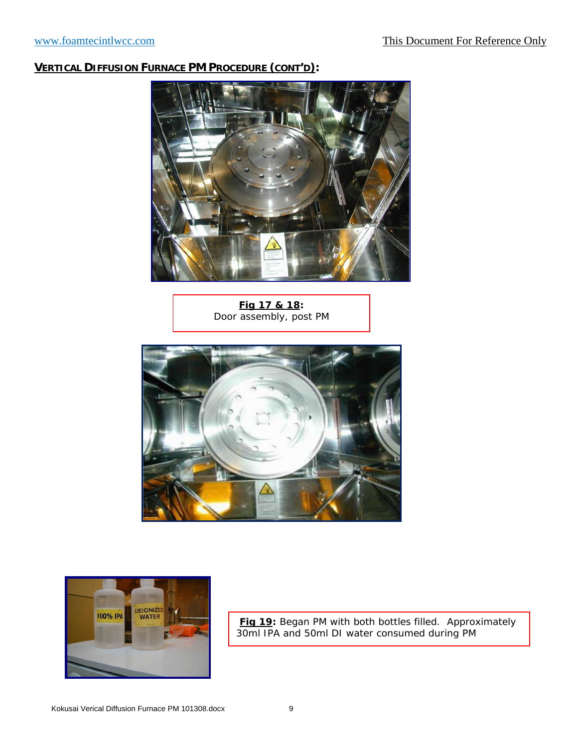

**Fig 17 & 18:** Door assembly, post PM





**Fig 19:** Began PM with both bottles filled. Approximately 30ml IPA and 50ml DI water consumed during PM